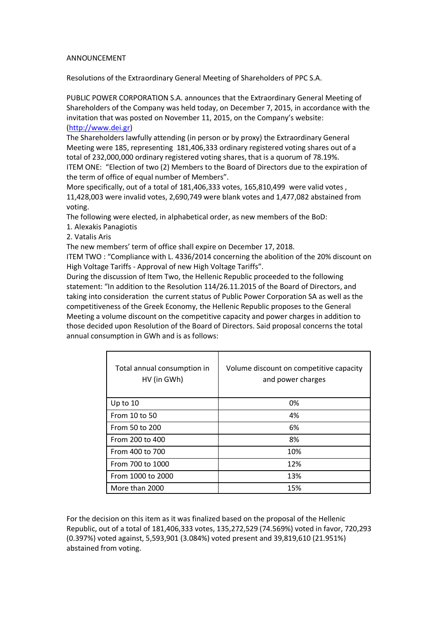## ANNOUNCEMENT

Resolutions of the Extraordinary General Meeting of Shareholders of PPC S.A.

PUBLIC POWER CORPORATION S.A. announces that the Extraordinary General Meeting of Shareholders of the Company was held today, on December 7, 2015, in accordance with the invitation that was posted on November 11, 2015, on the Company's website: [\(http://www.dei.gr\)](http://www.dei.gr/)

The Shareholders lawfully attending (in person or by proxy) the Extraordinary General Meeting were 185, representing 181,406,333 ordinary registered voting shares out of a total of 232,000,000 ordinary registered voting shares, that is a quorum of 78.19%. ITEM ONE: "Election of two (2) Members to the Board of Directors due to the expiration of the term of office of equal number of Members".

More specifically, out of a total of 181,406,333 votes, 165,810,499 were valid votes , 11,428,003 were invalid votes, 2,690,749 were blank votes and 1,477,082 abstained from voting.

The following were elected, in alphabetical order, as new members of the BoD:

- 1. Alexakis Panagiotis
- 2. Vatalis Aris

The new members' term of office shall expire on December 17, 2018.

ITEM TWO : "Compliance with L. 4336/2014 concerning the abolition of the 20% discount on High Voltage Tariffs - Approval of new High Voltage Tariffs".

During the discussion of Item Two, the Hellenic Republic proceeded to the following statement: "In addition to the Resolution 114/26.11.2015 of the Board of Directors, and taking into consideration the current status of Public Power Corporation SA as well as the competitiveness of the Greek Economy, the Hellenic Republic proposes to the General Meeting a volume discount on the competitive capacity and power charges in addition to those decided upon Resolution of the Board of Directors. Said proposal concerns the total annual consumption in GWh and is as follows:

| Total annual consumption in<br>HV (in GWh) | Volume discount on competitive capacity<br>and power charges |
|--------------------------------------------|--------------------------------------------------------------|
| Up to $10$                                 | 0%                                                           |
| From 10 to 50                              | 4%                                                           |
| From 50 to 200                             | 6%                                                           |
| From 200 to 400                            | 8%                                                           |
| From 400 to 700                            | 10%                                                          |
| From 700 to 1000                           | 12%                                                          |
| From 1000 to 2000                          | 13%                                                          |
| More than 2000                             | 15%                                                          |

For the decision on this item as it was finalized based on the proposal of the Hellenic Republic, out of a total of 181,406,333 votes, 135,272,529 (74.569%) voted in favor, 720,293 (0.397%) voted against, 5,593,901 (3.084%) voted present and 39,819,610 (21.951%) abstained from voting.